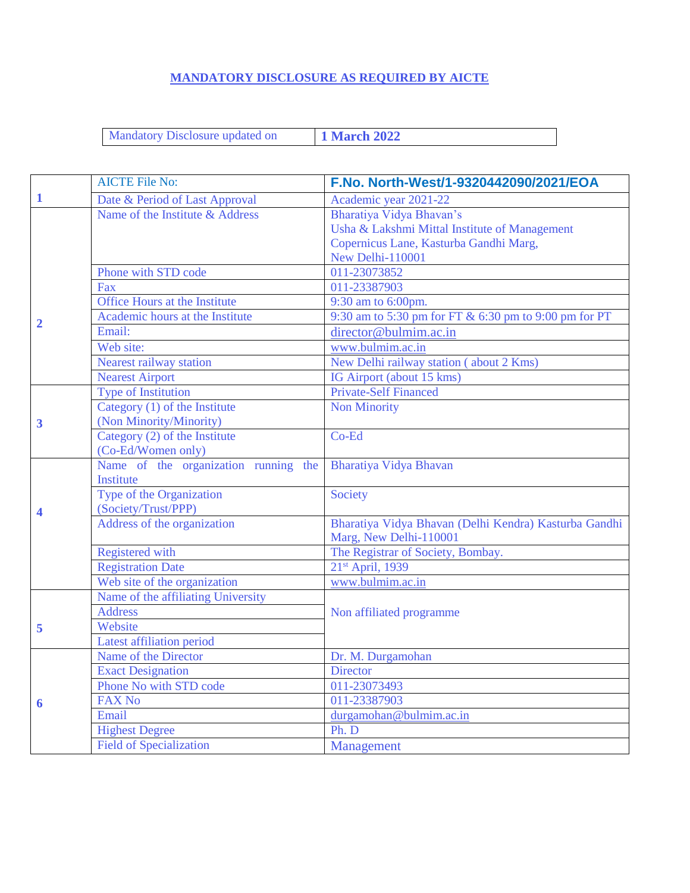### **MANDATORY DISCLOSURE AS REQUIRED BY AICTE**

Mandatory Disclosure updated on **1 March 2022** 

|              | <b>AICTE File No:</b>                | F.No. North-West/1-9320442090/2021/EOA                |
|--------------|--------------------------------------|-------------------------------------------------------|
| $\mathbf{1}$ | Date & Period of Last Approval       | Academic year 2021-22                                 |
|              | Name of the Institute & Address      | Bharatiya Vidya Bhavan's                              |
|              |                                      | Usha & Lakshmi Mittal Institute of Management         |
|              |                                      | Copernicus Lane, Kasturba Gandhi Marg,                |
|              |                                      | New Delhi-110001                                      |
|              | Phone with STD code                  | 011-23073852                                          |
|              | Fax                                  | 011-23387903                                          |
|              | Office Hours at the Institute        | 9:30 am to 6:00pm.                                    |
| 2            | Academic hours at the Institute      | 9:30 am to 5:30 pm for FT & 6:30 pm to 9:00 pm for PT |
|              | Email:                               | director@bulmim.ac.in                                 |
|              | Web site:                            | www.bulmim.ac.in                                      |
|              | Nearest railway station              | New Delhi railway station (about 2 Kms)               |
|              | <b>Nearest Airport</b>               | IG Airport (about 15 kms)                             |
|              | <b>Type of Institution</b>           | <b>Private-Self Financed</b>                          |
|              | Category (1) of the Institute        | <b>Non Minority</b>                                   |
| 3            | (Non Minority/Minority)              |                                                       |
|              | Category (2) of the Institute        | Co-Ed                                                 |
|              | (Co-Ed/Women only)                   |                                                       |
|              | Name of the organization running the | Bharatiya Vidya Bhavan                                |
|              | Institute                            |                                                       |
|              | Type of the Organization             | Society                                               |
|              | (Society/Trust/PPP)                  |                                                       |
|              | Address of the organization          | Bharatiya Vidya Bhavan (Delhi Kendra) Kasturba Gandhi |
|              |                                      | Marg, New Delhi-110001                                |
|              | <b>Registered</b> with               | The Registrar of Society, Bombay.                     |
|              | <b>Registration Date</b>             | 21 <sup>st</sup> April, 1939                          |
|              | Web site of the organization         | www.bulmim.ac.in                                      |
|              | Name of the affiliating University   |                                                       |
|              | <b>Address</b>                       | Non affiliated programme                              |
| 5            | Website                              |                                                       |
|              | Latest affiliation period            |                                                       |
|              | Name of the Director                 | Dr. M. Durgamohan                                     |
|              | <b>Exact Designation</b>             | <b>Director</b>                                       |
|              | Phone No with STD code               | 011-23073493                                          |
| 6            | <b>FAX No</b>                        | 011-23387903                                          |
|              | Email                                | durgamohan@bulmim.ac.in                               |
|              | <b>Highest Degree</b>                | Ph. D                                                 |
|              | <b>Field of Specialization</b>       | <b>Management</b>                                     |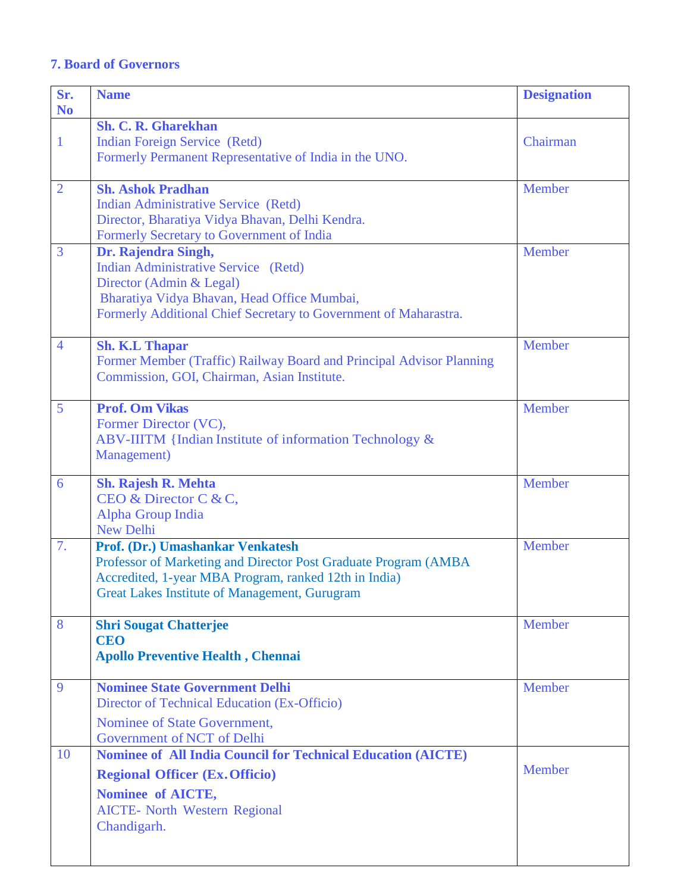## **7. Board of Governors**

| Sr.            | <b>Name</b>                                                                                    | <b>Designation</b> |
|----------------|------------------------------------------------------------------------------------------------|--------------------|
| N <sub>o</sub> |                                                                                                |                    |
|                | <b>Sh. C. R. Gharekhan</b>                                                                     | Chairman           |
| $\mathbf{1}$   | <b>Indian Foreign Service (Retd)</b><br>Formerly Permanent Representative of India in the UNO. |                    |
|                |                                                                                                |                    |
| $\overline{2}$ | <b>Sh. Ashok Pradhan</b>                                                                       | Member             |
|                | Indian Administrative Service (Retd)                                                           |                    |
|                | Director, Bharatiya Vidya Bhavan, Delhi Kendra.                                                |                    |
|                | Formerly Secretary to Government of India                                                      |                    |
| 3              | Dr. Rajendra Singh,                                                                            | Member             |
|                | Indian Administrative Service (Retd)                                                           |                    |
|                | Director (Admin & Legal)<br>Bharatiya Vidya Bhavan, Head Office Mumbai,                        |                    |
|                | Formerly Additional Chief Secretary to Government of Maharastra.                               |                    |
|                |                                                                                                |                    |
| 4              | <b>Sh. K.L Thapar</b>                                                                          | Member             |
|                | Former Member (Traffic) Railway Board and Principal Advisor Planning                           |                    |
|                | Commission, GOI, Chairman, Asian Institute.                                                    |                    |
|                |                                                                                                |                    |
| 5              | <b>Prof. Om Vikas</b>                                                                          | Member             |
|                | Former Director (VC),<br>ABV-IIITM {Indian Institute of information Technology &               |                    |
|                | Management)                                                                                    |                    |
|                |                                                                                                |                    |
| 6              | <b>Sh. Rajesh R. Mehta</b>                                                                     | Member             |
|                | CEO & Director C & C,                                                                          |                    |
|                | Alpha Group India                                                                              |                    |
| 7.             | <b>New Delhi</b><br>Prof. (Dr.) Umashankar Venkatesh                                           | Member             |
|                | Professor of Marketing and Director Post Graduate Program (AMBA                                |                    |
|                | Accredited, 1-year MBA Program, ranked 12th in India)                                          |                    |
|                | <b>Great Lakes Institute of Management, Gurugram</b>                                           |                    |
|                |                                                                                                |                    |
| 8              | <b>Shri Sougat Chatterjee</b>                                                                  | Member             |
|                | <b>CEO</b>                                                                                     |                    |
|                | <b>Apollo Preventive Health, Chennai</b>                                                       |                    |
| 9              | <b>Nominee State Government Delhi</b>                                                          | <b>Member</b>      |
|                | Director of Technical Education (Ex-Officio)                                                   |                    |
|                | Nominee of State Government,                                                                   |                    |
|                | Government of NCT of Delhi                                                                     |                    |
| 10             | <b>Nominee of All India Council for Technical Education (AICTE)</b>                            |                    |
|                | <b>Regional Officer (Ex. Officio)</b>                                                          | Member             |
|                | Nominee of AICTE,                                                                              |                    |
|                | <b>AICTE- North Western Regional</b>                                                           |                    |
|                | Chandigarh.                                                                                    |                    |
|                |                                                                                                |                    |
|                |                                                                                                |                    |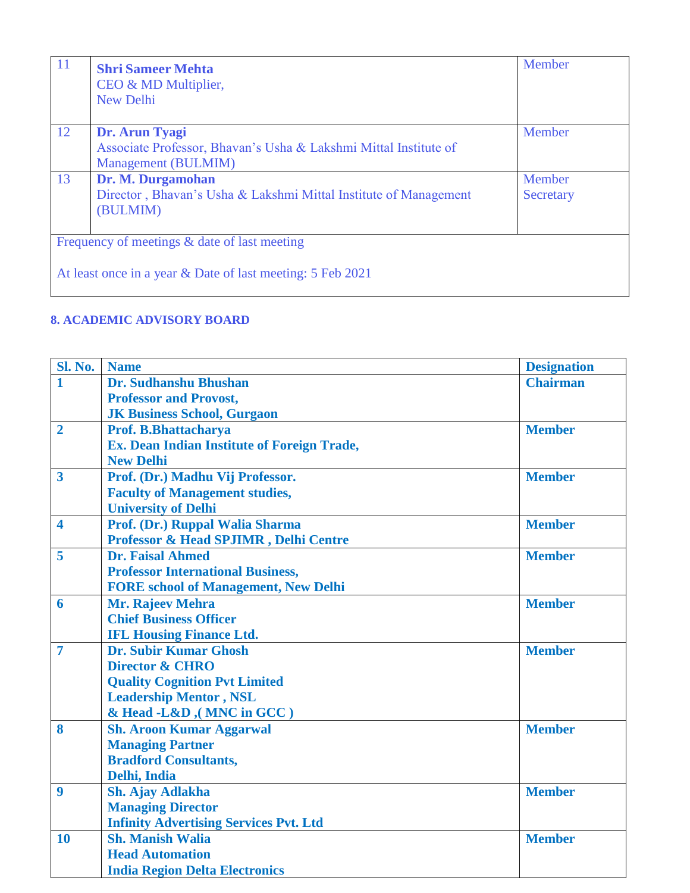| <sup>11</sup> | <b>Shri Sameer Mehta</b><br>CEO & MD Multiplier,<br>New Delhi    | Member    |
|---------------|------------------------------------------------------------------|-----------|
| 12            | Dr. Arun Tyagi                                                   | Member    |
|               | Associate Professor, Bhavan's Usha & Lakshmi Mittal Institute of |           |
|               | Management (BULMIM)                                              |           |
| 13            | Dr. M. Durgamohan                                                | Member    |
|               | Director, Bhavan's Usha & Lakshmi Mittal Institute of Management | Secretary |
|               | (BULMIM)                                                         |           |
|               |                                                                  |           |
|               | Frequency of meetings & date of last meeting                     |           |
|               | At least once in a year & Date of last meeting: 5 Feb 2021       |           |

### **8. ACADEMIC ADVISORY BOARD**

| <b>Sl. No.</b>          | <b>Name</b>                                   | <b>Designation</b> |
|-------------------------|-----------------------------------------------|--------------------|
| $\mathbf{1}$            | Dr. Sudhanshu Bhushan                         | <b>Chairman</b>    |
|                         | <b>Professor and Provost,</b>                 |                    |
|                         | <b>JK Business School, Gurgaon</b>            |                    |
| $\overline{2}$          | Prof. B.Bhattacharya                          | <b>Member</b>      |
|                         | Ex. Dean Indian Institute of Foreign Trade,   |                    |
|                         | <b>New Delhi</b>                              |                    |
| $\overline{\mathbf{3}}$ | Prof. (Dr.) Madhu Vij Professor.              | <b>Member</b>      |
|                         | <b>Faculty of Management studies,</b>         |                    |
|                         | <b>University of Delhi</b>                    |                    |
| $\overline{\mathbf{4}}$ | Prof. (Dr.) Ruppal Walia Sharma               | <b>Member</b>      |
|                         | Professor & Head SPJIMR, Delhi Centre         |                    |
| 5                       | <b>Dr. Faisal Ahmed</b>                       | <b>Member</b>      |
|                         | <b>Professor International Business,</b>      |                    |
|                         | <b>FORE school of Management, New Delhi</b>   |                    |
| 6                       | Mr. Rajeev Mehra                              | <b>Member</b>      |
|                         | <b>Chief Business Officer</b>                 |                    |
|                         | <b>IFL Housing Finance Ltd.</b>               |                    |
| $\overline{7}$          | <b>Dr. Subir Kumar Ghosh</b>                  | <b>Member</b>      |
|                         | <b>Director &amp; CHRO</b>                    |                    |
|                         | <b>Quality Cognition Pvt Limited</b>          |                    |
|                         | <b>Leadership Mentor, NSL</b>                 |                    |
|                         | & Head -L&D ,(MNC in GCC)                     |                    |
| 8                       | <b>Sh. Aroon Kumar Aggarwal</b>               | <b>Member</b>      |
|                         | <b>Managing Partner</b>                       |                    |
|                         | <b>Bradford Consultants,</b>                  |                    |
|                         | Delhi, India                                  |                    |
| 9                       | <b>Sh. Ajay Adlakha</b>                       | <b>Member</b>      |
|                         | <b>Managing Director</b>                      |                    |
|                         | <b>Infinity Advertising Services Pvt. Ltd</b> |                    |
| 10                      | <b>Sh. Manish Walia</b>                       | <b>Member</b>      |
|                         | <b>Head Automation</b>                        |                    |
|                         | <b>India Region Delta Electronics</b>         |                    |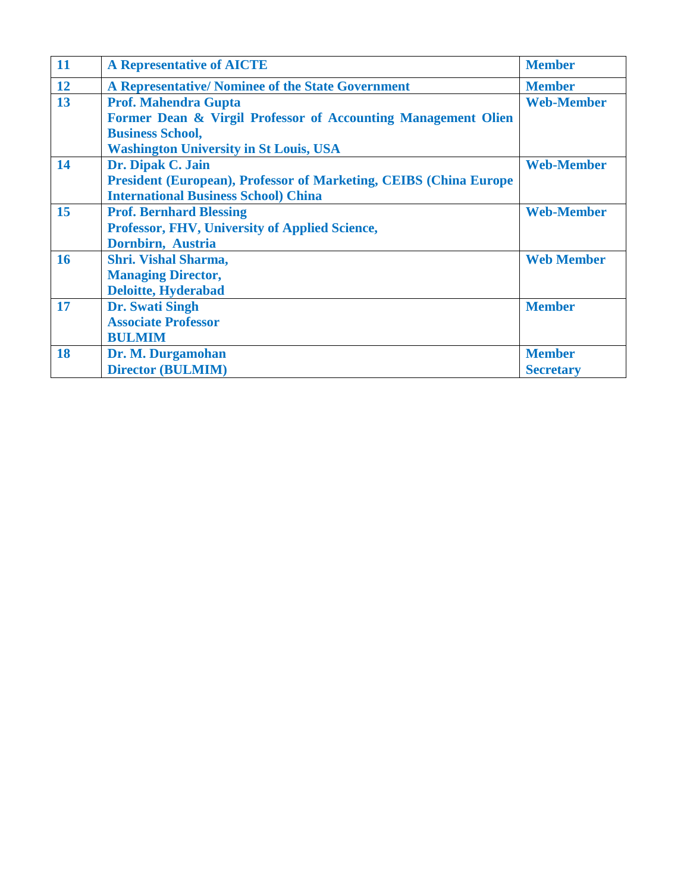| 11        | <b>A Representative of AICTE</b>                                          | <b>Member</b>     |
|-----------|---------------------------------------------------------------------------|-------------------|
| <b>12</b> | A Representative/ Nominee of the State Government                         | <b>Member</b>     |
| 13        | <b>Prof. Mahendra Gupta</b>                                               | <b>Web-Member</b> |
|           | Former Dean & Virgil Professor of Accounting Management Olien             |                   |
|           | <b>Business School,</b>                                                   |                   |
|           | <b>Washington University in St Louis, USA</b>                             |                   |
| 14        | Dr. Dipak C. Jain                                                         | <b>Web-Member</b> |
|           | <b>President (European), Professor of Marketing, CEIBS (China Europe)</b> |                   |
|           | <b>International Business School) China</b>                               |                   |
| 15        | <b>Prof. Bernhard Blessing</b>                                            | <b>Web-Member</b> |
|           | Professor, FHV, University of Applied Science,                            |                   |
|           | Dornbirn, Austria                                                         |                   |
| 16        | <b>Shri. Vishal Sharma,</b>                                               | <b>Web Member</b> |
|           | <b>Managing Director,</b>                                                 |                   |
|           | <b>Deloitte, Hyderabad</b>                                                |                   |
| 17        | <b>Dr.</b> Swati Singh                                                    | <b>Member</b>     |
|           | <b>Associate Professor</b>                                                |                   |
|           | <b>BULMIM</b>                                                             |                   |
| 18        | Dr. M. Durgamohan                                                         | <b>Member</b>     |
|           | <b>Director (BULMIM)</b>                                                  | <b>Secretary</b>  |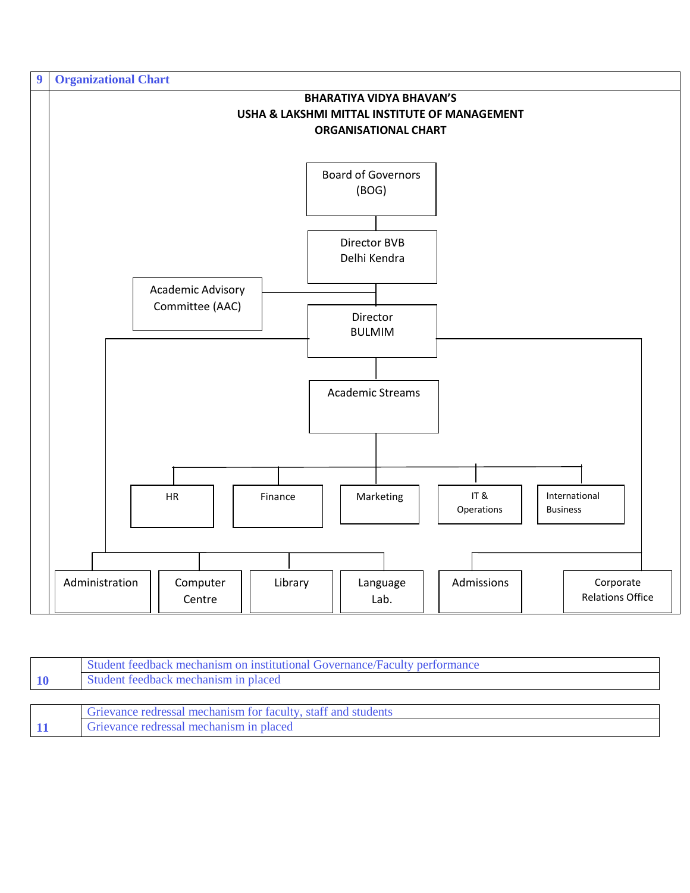

| Student feedback mechanism on institutional Governance/Faculty performance |
|----------------------------------------------------------------------------|
| Student feedback mechanism in placed                                       |
|                                                                            |
| Grievance redressal mechanism for faculty, staff and students              |
| Grievance redressal mechanism in placed                                    |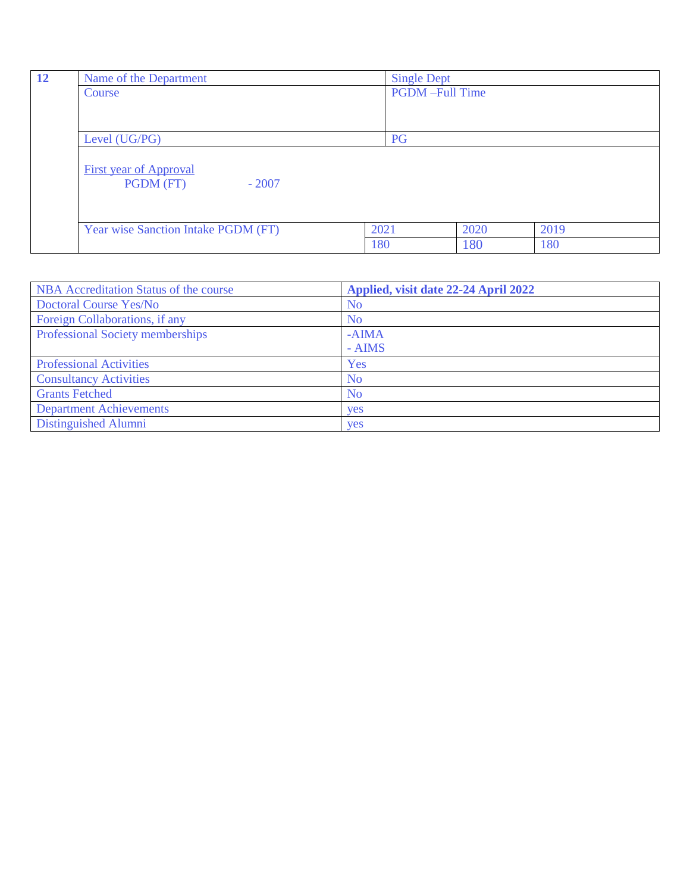| 12 | Name of the Department              | <b>Single Dept</b>    |      |      |
|----|-------------------------------------|-----------------------|------|------|
|    | Course                              | <b>PGDM-Full Time</b> |      |      |
|    |                                     |                       |      |      |
|    |                                     |                       |      |      |
|    | Level (UG/PG)                       | PG                    |      |      |
|    |                                     |                       |      |      |
|    | <b>First year of Approval</b>       |                       |      |      |
|    | PGDM (FT)<br>$-2007$                |                       |      |      |
|    |                                     |                       |      |      |
|    |                                     |                       |      |      |
|    | Year wise Sanction Intake PGDM (FT) | 2021                  | 2020 | 2019 |
|    |                                     | 180                   | 180  | 180  |

| NBA Accreditation Status of the course | Applied, visit date 22-24 April 2022 |
|----------------------------------------|--------------------------------------|
| <b>Doctoral Course Yes/No</b>          | N <sub>0</sub>                       |
| Foreign Collaborations, if any         | N <sub>o</sub>                       |
| Professional Society memberships       | $-AIMA$                              |
|                                        | $-$ AIMS                             |
| <b>Professional Activities</b>         | Yes                                  |
| <b>Consultancy Activities</b>          | N <sub>o</sub>                       |
| <b>Grants Fetched</b>                  | N <sub>o</sub>                       |
| <b>Department Achievements</b>         | <b>ves</b>                           |
| Distinguished Alumni                   | <b>ves</b>                           |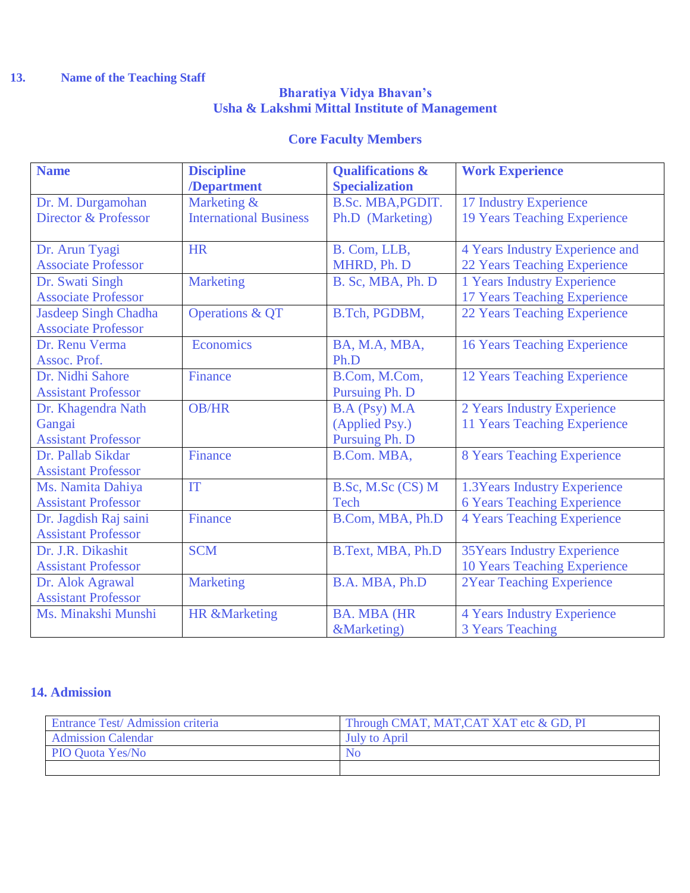# **13. Name of the Teaching Staff**

#### **Bharatiya Vidya Bhavan's Usha & Lakshmi Mittal Institute of Management**

# **Core Faculty Members**

| <b>Name</b>                 | <b>Discipline</b>             | <b>Qualifications &amp;</b> | <b>Work Experience</b>              |
|-----------------------------|-------------------------------|-----------------------------|-------------------------------------|
|                             | /Department                   | <b>Specialization</b>       |                                     |
| Dr. M. Durgamohan           | Marketing &                   | B.Sc. MBA, PGDIT.           | 17 Industry Experience              |
| Director & Professor        | <b>International Business</b> | Ph.D (Marketing)            | <b>19 Years Teaching Experience</b> |
|                             |                               |                             |                                     |
| Dr. Arun Tyagi              | <b>HR</b>                     | B. Com, LLB,                | 4 Years Industry Experience and     |
| <b>Associate Professor</b>  |                               | MHRD, Ph. D                 | 22 Years Teaching Experience        |
| Dr. Swati Singh             | <b>Marketing</b>              | B. Sc, MBA, Ph. D           | 1 Years Industry Experience         |
| <b>Associate Professor</b>  |                               |                             | 17 Years Teaching Experience        |
| <b>Jasdeep Singh Chadha</b> | <b>Operations &amp; QT</b>    | B.Tch, PGDBM,               | 22 Years Teaching Experience        |
| <b>Associate Professor</b>  |                               |                             |                                     |
| Dr. Renu Verma              | Economics                     | BA, M.A, MBA,               | <b>16 Years Teaching Experience</b> |
| Assoc. Prof.                |                               | Ph.D                        |                                     |
| Dr. Nidhi Sahore            | <b>Finance</b>                | B.Com, M.Com,               | 12 Years Teaching Experience        |
| <b>Assistant Professor</b>  |                               | <b>Pursuing Ph. D</b>       |                                     |
| Dr. Khagendra Nath          | <b>OB/HR</b>                  | B.A (Psy) M.A               | 2 Years Industry Experience         |
| Gangai                      |                               | (Applied Psy.)              | 11 Years Teaching Experience        |
| <b>Assistant Professor</b>  |                               | Pursuing Ph. D              |                                     |
| Dr. Pallab Sikdar           | Finance                       | B.Com. MBA,                 | <b>8 Years Teaching Experience</b>  |
| <b>Assistant Professor</b>  |                               |                             |                                     |
| Ms. Namita Dahiya           | IT                            | B.Sc, M.Sc (CS) M           | 1.3 Years Industry Experience       |
| <b>Assistant Professor</b>  |                               | Tech                        | <b>6 Years Teaching Experience</b>  |
| Dr. Jagdish Raj saini       | Finance                       | B.Com, MBA, Ph.D            | <b>4 Years Teaching Experience</b>  |
| <b>Assistant Professor</b>  |                               |                             |                                     |
| Dr. J.R. Dikashit           | <b>SCM</b>                    | B.Text, MBA, Ph.D           | <b>35Years Industry Experience</b>  |
| <b>Assistant Professor</b>  |                               |                             | 10 Years Teaching Experience        |
| Dr. Alok Agrawal            | <b>Marketing</b>              | B.A. MBA, Ph.D              | <b>2Year Teaching Experience</b>    |
| <b>Assistant Professor</b>  |                               |                             |                                     |
| Ms. Minakshi Munshi         | <b>HR &amp;Marketing</b>      | <b>BA. MBA (HR</b>          | <b>4 Years Industry Experience</b>  |
|                             |                               | &Marketing)                 | <b>3 Years Teaching</b>             |

### **14. Admission**

| Entrance Test/Admission criteria | Through CMAT, MAT, CAT XAT etc & GD, PI |
|----------------------------------|-----------------------------------------|
| <b>Admission Calendar</b>        | <b>July to April</b>                    |
| <b>PIO Quota Yes/No</b>          | No                                      |
|                                  |                                         |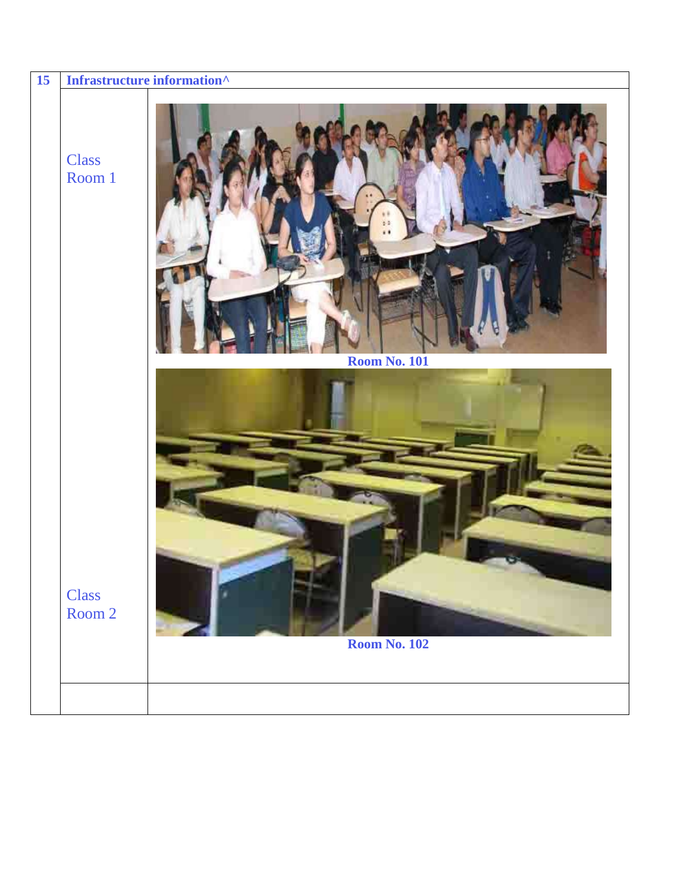| 15 |                        | Infrastructure information $\wedge$ |
|----|------------------------|-------------------------------------|
|    | <b>Class</b><br>Room 1 | <b>Room No. 101</b>                 |
|    | <b>Class</b><br>Room 2 | <b>Room No. 102</b>                 |
|    |                        |                                     |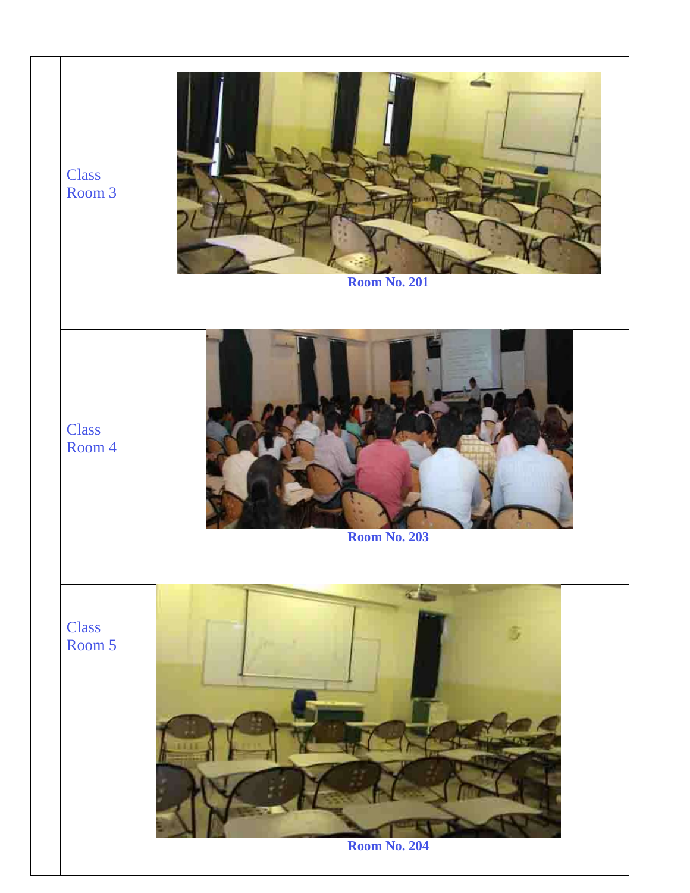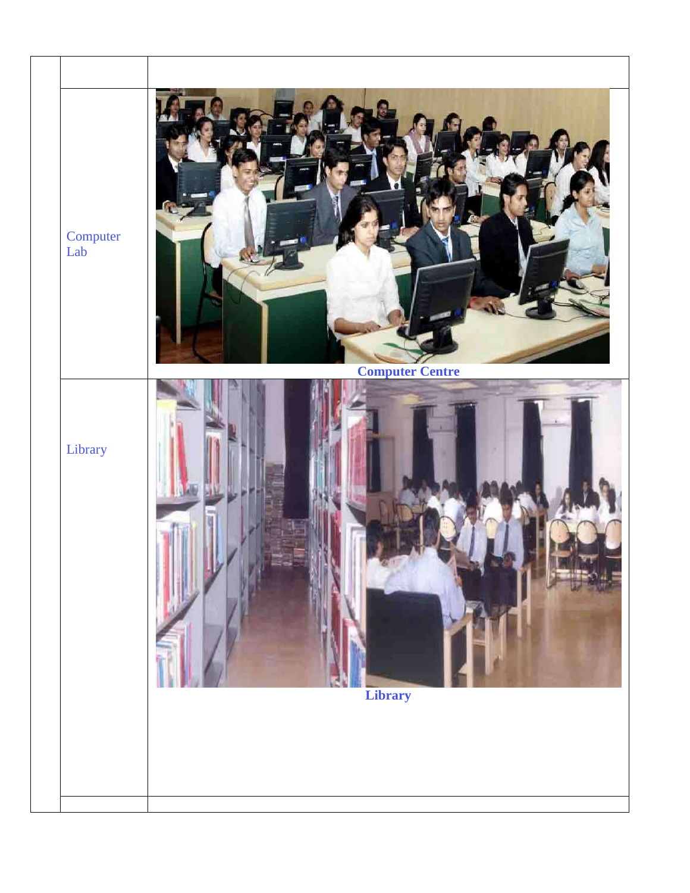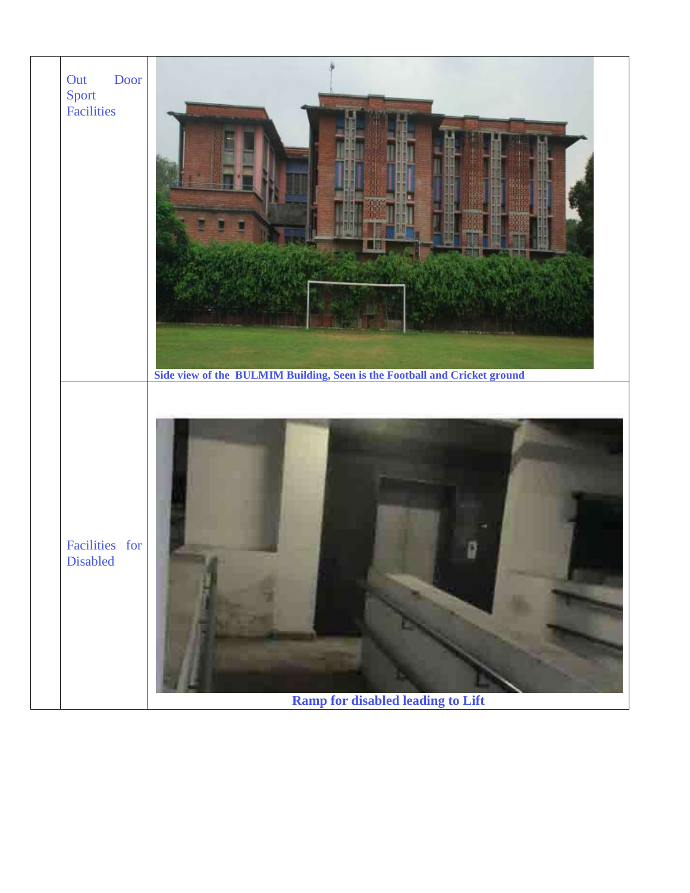